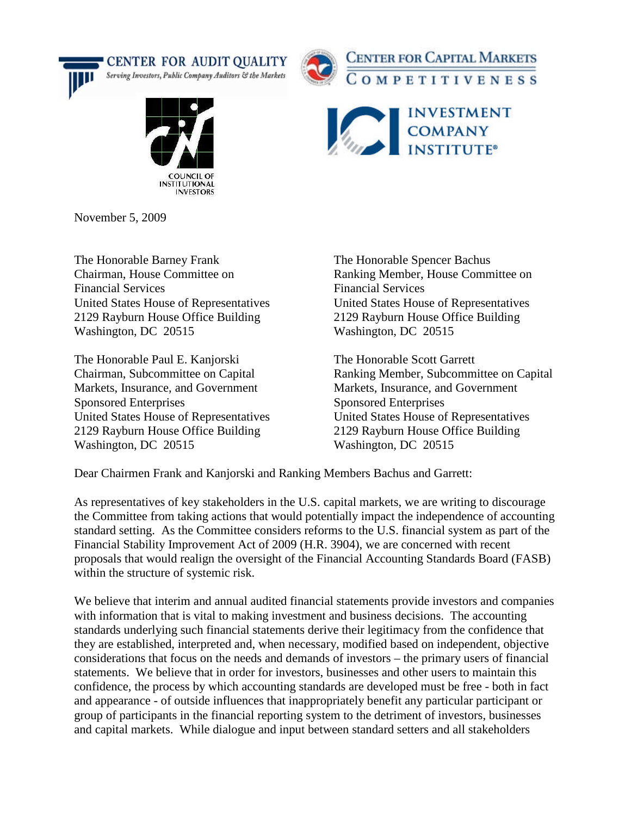







November 5, 2009

The Honorable Barney Frank The Honorable Spencer Bachus Financial Services Financial Services 2129 Rayburn House Office Building 2129 Rayburn House Office Building Washington, DC 20515 Washington, DC 20515

The Honorable Paul E. Kanjorski The Honorable Scott Garrett Markets, Insurance, and Government Markets, Insurance, and Government Sponsored Enterprises Sponsored Enterprises United States House of Representatives United States House of Representatives 2129 Rayburn House Office Building 2129 Rayburn House Office Building Washington, DC 20515 Washington, DC 20515

Chairman, House Committee on Ranking Member, House Committee on United States House of Representatives United States House of Representatives

Chairman, Subcommittee on Capital Ranking Member, Subcommittee on Capital

Dear Chairmen Frank and Kanjorski and Ranking Members Bachus and Garrett:

As representatives of key stakeholders in the U.S. capital markets, we are writing to discourage the Committee from taking actions that would potentially impact the independence of accounting standard setting. As the Committee considers reforms to the U.S. financial system as part of the Financial Stability Improvement Act of 2009 (H.R. 3904), we are concerned with recent proposals that would realign the oversight of the Financial Accounting Standards Board (FASB) within the structure of systemic risk.

We believe that interim and annual audited financial statements provide investors and companies with information that is vital to making investment and business decisions. The accounting standards underlying such financial statements derive their legitimacy from the confidence that they are established, interpreted and, when necessary, modified based on independent, objective considerations that focus on the needs and demands of investors – the primary users of financial statements. We believe that in order for investors, businesses and other users to maintain this confidence, the process by which accounting standards are developed must be free - both in fact and appearance - of outside influences that inappropriately benefit any particular participant or group of participants in the financial reporting system to the detriment of investors, businesses and capital markets. While dialogue and input between standard setters and all stakeholders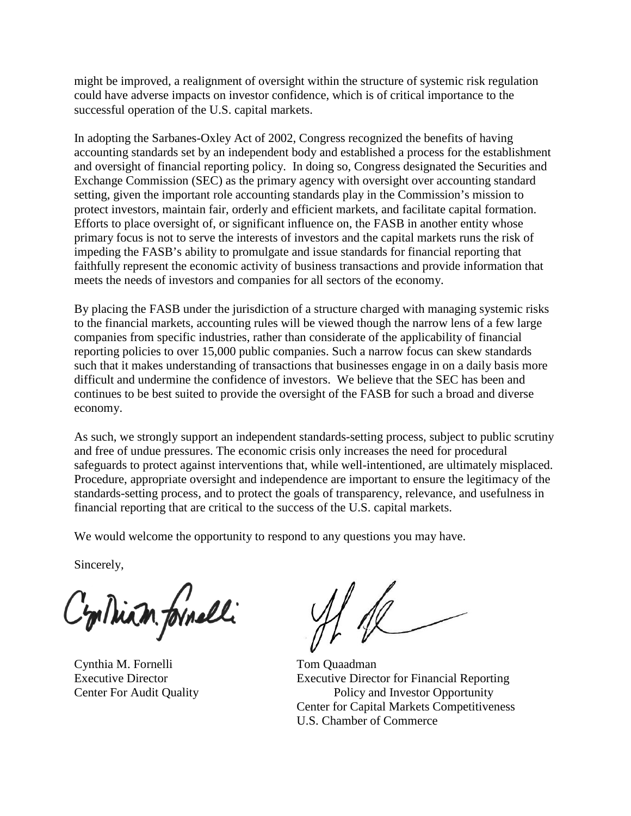might be improved, a realignment of oversight within the structure of systemic risk regulation could have adverse impacts on investor confidence, which is of critical importance to the successful operation of the U.S. capital markets.

In adopting the Sarbanes-Oxley Act of 2002, Congress recognized the benefits of having accounting standards set by an independent body and established a process for the establishment and oversight of financial reporting policy. In doing so, Congress designated the Securities and Exchange Commission (SEC) as the primary agency with oversight over accounting standard setting, given the important role accounting standards play in the Commission's mission to protect investors, maintain fair, orderly and efficient markets, and facilitate capital formation. Efforts to place oversight of, or significant influence on, the FASB in another entity whose primary focus is not to serve the interests of investors and the capital markets runs the risk of impeding the FASB's ability to promulgate and issue standards for financial reporting that faithfully represent the economic activity of business transactions and provide information that meets the needs of investors and companies for all sectors of the economy.

By placing the FASB under the jurisdiction of a structure charged with managing systemic risks to the financial markets, accounting rules will be viewed though the narrow lens of a few large companies from specific industries, rather than considerate of the applicability of financial reporting policies to over 15,000 public companies. Such a narrow focus can skew standards such that it makes understanding of transactions that businesses engage in on a daily basis more difficult and undermine the confidence of investors. We believe that the SEC has been and continues to be best suited to provide the oversight of the FASB for such a broad and diverse economy.

As such, we strongly support an independent standards-setting process, subject to public scrutiny and free of undue pressures. The economic crisis only increases the need for procedural safeguards to protect against interventions that, while well-intentioned, are ultimately misplaced. Procedure, appropriate oversight and independence are important to ensure the legitimacy of the standards-setting process, and to protect the goals of transparency, relevance, and usefulness in financial reporting that are critical to the success of the U.S. capital markets.

We would welcome the opportunity to respond to any questions you may have.

Sincerely,

C'on Diam formelli

Cynthia M. Fornelli Tom Quaadman

Executive Director Executive Director for Financial Reporting Center For Audit Quality Policy and Investor Opportunity Center for Capital Markets Competitiveness U.S. Chamber of Commerce